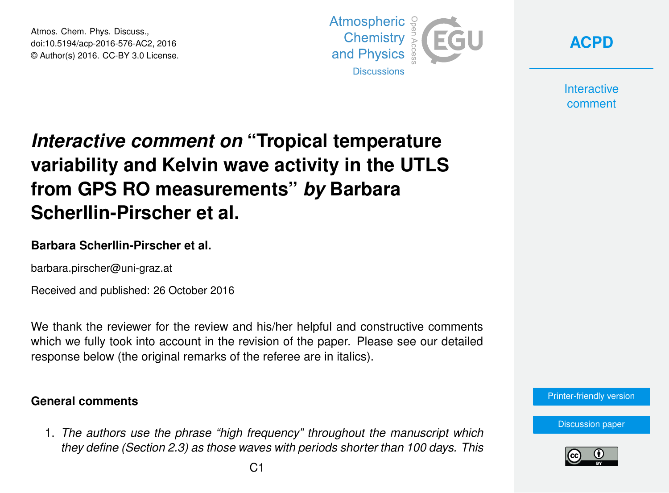Atmos. Chem. Phys. Discuss., doi:10.5194/acp-2016-576-AC2, 2016 © Author(s) 2016. CC-BY 3.0 License.



**[ACPD](http://www.atmos-chem-phys-discuss.net/)**

**Interactive** comment

# *Interactive comment on* **"Tropical temperature variability and Kelvin wave activity in the UTLS from GPS RO measurements"** *by* **Barbara Scherllin-Pirscher et al.**

## **Barbara Scherllin-Pirscher et al.**

barbara.pirscher@uni-graz.at

Received and published: 26 October 2016

We thank the reviewer for the review and his/her helpful and constructive comments which we fully took into account in the revision of the paper. Please see our detailed response below (the original remarks of the referee are in italics).

### **General comments**

1. *The authors use the phrase "high frequency" throughout the manuscript which they define (Section 2.3) as those waves with periods shorter than 100 days. This*



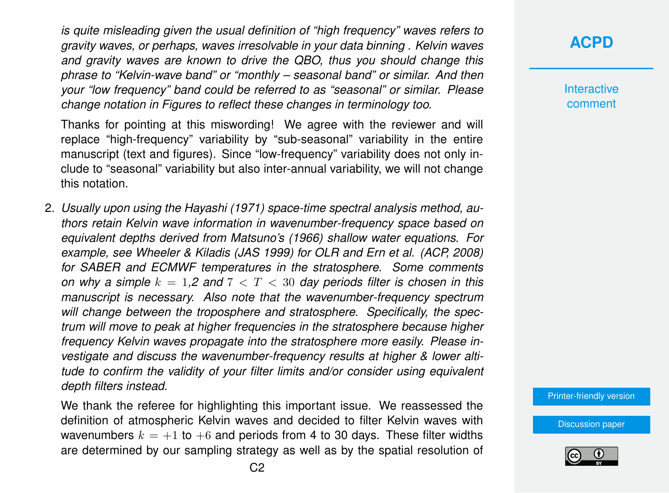*is quite misleading given the usual definition of "high frequency" waves refers to gravity waves, or perhaps, waves irresolvable in your data binning . Kelvin waves and gravity waves are known to drive the QBO, thus you should change this phrase to "Kelvin-wave band" or "monthly – seasonal band" or similar. And then your "low frequency" band could be referred to as "seasonal" or similar. Please change notation in Figures to reflect these changes in terminology too.*

Thanks for pointing at this miswording! We agree with the reviewer and will replace "high-frequency" variability by "sub-seasonal" variability in the entire manuscript (text and figures). Since "low-frequency" variability does not only include to "seasonal" variability but also inter-annual variability, we will not change this notation.

2. *Usually upon using the Hayashi (1971) space-time spectral analysis method, authors retain Kelvin wave information in wavenumber-frequency space based on equivalent depths derived from Matsuno's (1966) shallow water equations. For example, see Wheeler & Kiladis (JAS 1999) for OLR and Ern et al. (ACP, 2008) for SABER and ECMWF temperatures in the stratosphere. Some comments on why a simple*  $k = 1.2$  *and*  $7 < T < 30$  *day periods filter is chosen in this manuscript is necessary. Also note that the wavenumber-frequency spectrum will change between the troposphere and stratosphere. Specifically, the spectrum will move to peak at higher frequencies in the stratosphere because higher frequency Kelvin waves propagate into the stratosphere more easily. Please investigate and discuss the wavenumber-frequency results at higher & lower altitude to confirm the validity of your filter limits and/or consider using equivalent depth filters instead.*

We thank the referee for highlighting this important issue. We reassessed the definition of atmospheric Kelvin waves and decided to filter Kelvin waves with wavenumbers  $k = +1$  to  $+6$  and periods from 4 to 30 days. These filter widths are determined by our sampling strategy as well as by the spatial resolution of

# **[ACPD](http://www.atmos-chem-phys-discuss.net/)**

**Interactive** comment

[Printer-friendly version](http://www.atmos-chem-phys-discuss.net/acp-2016-576/acp-2016-576-AC2-print.pdf)

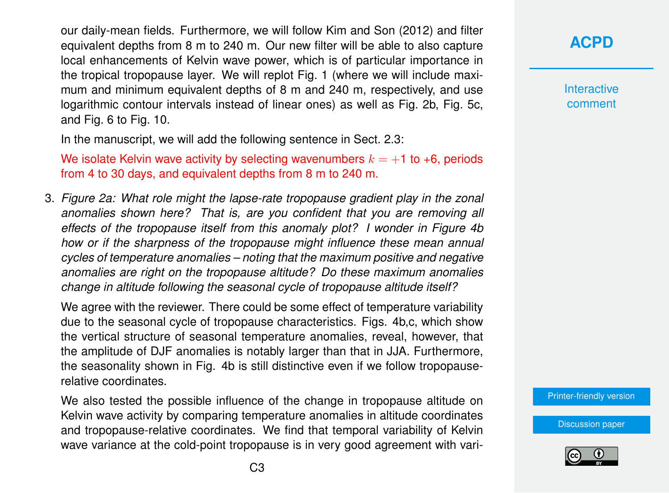our daily-mean fields. Furthermore, we will follow Kim and Son (2012) and filter equivalent depths from 8 m to 240 m. Our new filter will be able to also capture local enhancements of Kelvin wave power, which is of particular importance in the tropical tropopause layer. We will replot Fig. 1 (where we will include maximum and minimum equivalent depths of 8 m and 240 m, respectively, and use logarithmic contour intervals instead of linear ones) as well as Fig. 2b, Fig. 5c, and Fig. 6 to Fig. 10.

In the manuscript, we will add the following sentence in Sect. 2.3:

We isolate Kelvin wave activity by selecting wavenumbers  $k = +1$  to +6, periods from 4 to 30 days, and equivalent depths from 8 m to 240 m.

3. *Figure 2a: What role might the lapse-rate tropopause gradient play in the zonal anomalies shown here? That is, are you confident that you are removing all effects of the tropopause itself from this anomaly plot? I wonder in Figure 4b how or if the sharpness of the tropopause might influence these mean annual cycles of temperature anomalies – noting that the maximum positive and negative anomalies are right on the tropopause altitude? Do these maximum anomalies change in altitude following the seasonal cycle of tropopause altitude itself?*

We agree with the reviewer. There could be some effect of temperature variability due to the seasonal cycle of tropopause characteristics. Figs. 4b,c, which show the vertical structure of seasonal temperature anomalies, reveal, however, that the amplitude of DJF anomalies is notably larger than that in JJA. Furthermore, the seasonality shown in Fig. 4b is still distinctive even if we follow tropopauserelative coordinates.

We also tested the possible influence of the change in tropopause altitude on Kelvin wave activity by comparing temperature anomalies in altitude coordinates and tropopause-relative coordinates. We find that temporal variability of Kelvin wave variance at the cold-point tropopause is in very good agreement with vari-

# **[ACPD](http://www.atmos-chem-phys-discuss.net/)**

**Interactive** comment

[Printer-friendly version](http://www.atmos-chem-phys-discuss.net/acp-2016-576/acp-2016-576-AC2-print.pdf)

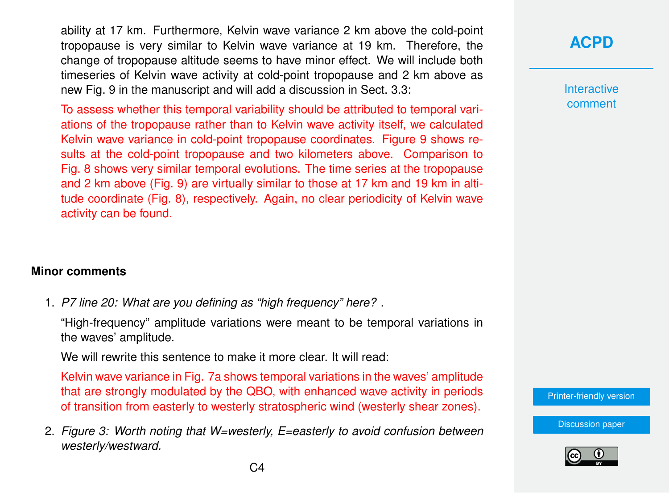ability at 17 km. Furthermore, Kelvin wave variance 2 km above the cold-point tropopause is very similar to Kelvin wave variance at 19 km. Therefore, the change of tropopause altitude seems to have minor effect. We will include both timeseries of Kelvin wave activity at cold-point tropopause and 2 km above as new Fig. 9 in the manuscript and will add a discussion in Sect. 3.3:

To assess whether this temporal variability should be attributed to temporal variations of the tropopause rather than to Kelvin wave activity itself, we calculated Kelvin wave variance in cold-point tropopause coordinates. Figure 9 shows results at the cold-point tropopause and two kilometers above. Comparison to Fig. 8 shows very similar temporal evolutions. The time series at the tropopause and 2 km above (Fig. 9) are virtually similar to those at 17 km and 19 km in altitude coordinate (Fig. 8), respectively. Again, no clear periodicity of Kelvin wave activity can be found.

#### **Minor comments**

1. *P7 line 20: What are you defining as "high frequency" here?* .

"High-frequency" amplitude variations were meant to be temporal variations in the waves' amplitude.

We will rewrite this sentence to make it more clear. It will read:

Kelvin wave variance in Fig. 7a shows temporal variations in the waves' amplitude that are strongly modulated by the QBO, with enhanced wave activity in periods of transition from easterly to westerly stratospheric wind (westerly shear zones).

2. *Figure 3: Worth noting that W=westerly, E=easterly to avoid confusion between westerly/westward.*

**Interactive** comment

[Printer-friendly version](http://www.atmos-chem-phys-discuss.net/acp-2016-576/acp-2016-576-AC2-print.pdf)

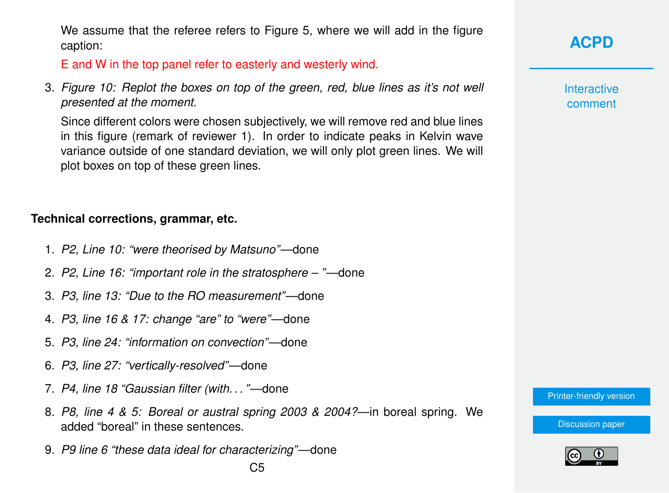We assume that the referee refers to Figure 5, where we will add in the figure caption:

E and W in the top panel refer to easterly and westerly wind.

3. *Figure 10: Replot the boxes on top of the green, red, blue lines as it's not well presented at the moment.*

Since different colors were chosen subjectively, we will remove red and blue lines in this figure (remark of reviewer 1). In order to indicate peaks in Kelvin wave variance outside of one standard deviation, we will only plot green lines. We will plot boxes on top of these green lines.

#### **Technical corrections, grammar, etc.**

- 1. *P2, Line 10: "were theorised by Matsuno"*—done
- 2. *P2, Line 16: "important role in the stratosphere "*—done
- 3. *P3, line 13: "Due to the RO measurement"*—done
- 4. *P3, line 16 & 17: change "are" to "were"*—done
- 5. *P3, line 24: "information on convection"*—done
- 6. *P3, line 27: "vertically-resolved"*—done
- 7. *P4, line 18 "Gaussian filter (with. . . "*—done
- 8. *P8, line 4 & 5: Boreal or austral spring 2003 & 2004?*—in boreal spring. We added "boreal" in these sentences.
- 9. *P9 line 6 "these data ideal for characterizing"*—done

**Interactive** comment

[Printer-friendly version](http://www.atmos-chem-phys-discuss.net/acp-2016-576/acp-2016-576-AC2-print.pdf)